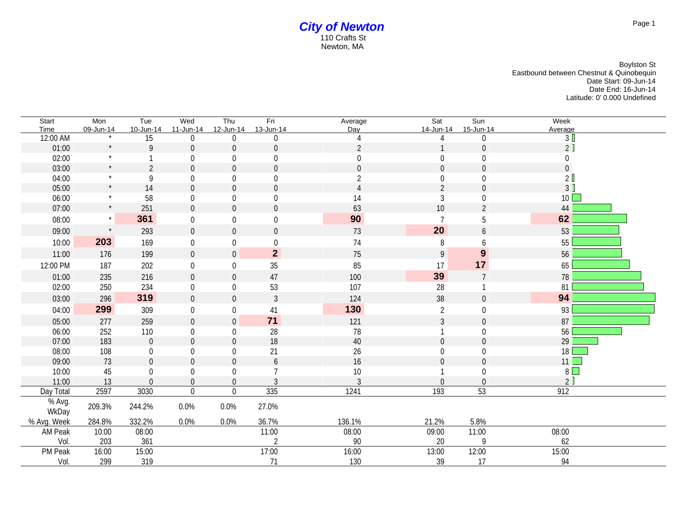## *City of Newton* 110 Crafts St Newton, MA

Boylston St Eastbound between Chestnut & Quinobequin Date Start: 09-Jun-14 Date End: 16-Jun-14 Latitude: 0' 0.000 Undefined

| Start<br>Time   | Mon<br>09-Jun-14 | Tue<br>10-Jun-14 | Wed<br>11-Jun-14 | Thu<br>12-Jun-14 | Fri<br>13-Jun-14 | Average<br>Day | Sat<br>14-Jun-14 | Sun<br>15-Jun-14 | Week<br>Average |
|-----------------|------------------|------------------|------------------|------------------|------------------|----------------|------------------|------------------|-----------------|
| 12:00 AM        |                  | 15               | 0                | $\overline{0}$   | $\theta$         |                |                  | $\overline{0}$   | 3 <sup>1</sup>  |
| 01:00           | $\star$          | 9                | $\overline{0}$   | $\overline{0}$   | $\overline{0}$   | $\overline{2}$ |                  | $\mathbf 0$      | 2               |
| 02:00           | $\star$          |                  | $\theta$         | 0                | $\mathbf 0$      | $\mathbf{0}$   | $\overline{0}$   | 0                | 0               |
| 03:00           | $\star$          | $\overline{2}$   | $\Omega$         | $\overline{0}$   | $\overline{0}$   | $\overline{0}$ | $\mathbf 0$      | $\overline{0}$   | $\overline{0}$  |
| 04:00           | $\star$          | 9                | 0                | $\boldsymbol{0}$ | $\boldsymbol{0}$ | $\overline{2}$ | $\boldsymbol{0}$ | 0                | 2 <sup>0</sup>  |
| 05:00           | $\star$          | 14               | $\overline{0}$   | $\overline{0}$   | $\boldsymbol{0}$ | $\overline{A}$ | $\overline{2}$   | $\boldsymbol{0}$ | 3               |
| 06:00           | $\star$          | 58               | 0                | 0                | $\boldsymbol{0}$ | 14             | $\mathfrak{Z}$   | 0                | $10$ $\Box$     |
| 07:00           | $\star$          | 251              | $\overline{0}$   | $\overline{0}$   | $\boldsymbol{0}$ | 63             | 10               | $\overline{2}$   | 44              |
| 08:00           | $\star$          | 361              | $\mathbf 0$      | $\mathbf 0$      | $\boldsymbol{0}$ | 90             | $\overline{7}$   | 5                | 62              |
| 09:00           | $\star$          | 293              | $\mathbf 0$      | $\overline{0}$   | $\boldsymbol{0}$ | 73             | 20               | 6                | 53              |
| 10:00           | 203              | 169              | 0                | $\overline{0}$   | 0                | 74             | 8                | 6                | 55              |
| 11:00           | 176              | 199              | $\mathbf 0$      | $\mathbf 0$      | $\overline{2}$   | 75             | $\overline{9}$   | $\boldsymbol{9}$ | 56              |
| 12:00 PM        | 187              | 202              | $\overline{0}$   | $\boldsymbol{0}$ | 35               | 85             | 17               | 17               | 65              |
| 01:00           | 235              | 216              | $\overline{0}$   | $\mathbf 0$      | 47               | 100            | 39               | $\overline{7}$   | 78              |
| 02:00           | 250              | 234              | 0                | $\boldsymbol{0}$ | 53               | 107            | 28               |                  | 81              |
| 03:00           | 296              | 319              | $\Omega$         | $\overline{0}$   | $\mathfrak{Z}$   | 124            | 38               | $\overline{0}$   | 94              |
| 04:00           | 299              | 309              | 0                | $\mathbf 0$      | 41               | 130            | $\overline{2}$   | $\mathbf 0$      | 93              |
| 05:00           | 277              | 259              | $\mathbf 0$      | $\mathbf 0$      | 71               | 121            | $\mathfrak{Z}$   | $\overline{0}$   | 87              |
| 06:00           | 252              | 110              | 0                | $\overline{0}$   | 28               | 78             |                  | $\overline{0}$   | 56              |
| 07:00           | 183              | $\boldsymbol{0}$ | $\overline{0}$   | $\overline{0}$   | 18               | 40             | $\overline{0}$   | $\overline{0}$   | 29              |
| 08:00           | 108              | $\overline{0}$   | 0                | $\boldsymbol{0}$ | 21               | 26             | $\overline{0}$   | $\mathbf 0$      | 18              |
| 09:00           | 73               | $\overline{0}$   | $\mathbf 0$      | $\overline{0}$   | $\boldsymbol{6}$ | 16             | $\overline{0}$   | $\mathbf 0$      | $11$ $\Box$     |
| 10:00           | 45               | $\mathbf 0$      | $\Omega$         | 0                | $\overline{7}$   | 10             |                  | $\boldsymbol{0}$ | $8\Box$         |
| 11:00           | 13               | $\mathbf 0$      | $\overline{0}$   | $\overline{0}$   | $\mathfrak{Z}$   | $\overline{3}$ | $\theta$         | $\mathbf 0$      | 2               |
| Day Total       | 2597             | 3030             | $\overline{0}$   | $\overline{0}$   | 335              | 1241           | 193              | 53               | 912             |
| % Avg.<br>WkDay | 209.3%           | 244.2%           | 0.0%             | 0.0%             | 27.0%            |                |                  |                  |                 |
| % Avg. Week     | 284.8%           | 332.2%           | $0.0\%$          | 0.0%             | 36.7%            | 136.1%         | 21.2%            | 5.8%             |                 |
| AM Peak         | 10:00            | 08:00            |                  |                  | 11:00            | 08:00          | 09:00            | 11:00            | 08:00           |
| Vol.            | 203              | 361              |                  |                  | $\mathfrak{D}$   | 90             | 20               | 9                | 62              |
| PM Peak         | 16:00            | 15:00            |                  |                  | 17:00            | 16:00          | 13:00            | 12:00            | 15:00           |
| Vol.            | 299              | 319              |                  |                  | 71               | 130            | 39               | 17               | 94              |